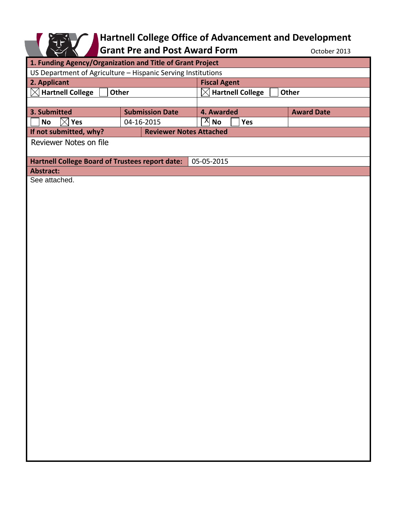

## **Hartnell College Office of Advancement and Development**

Grant Pre and Post Award Form **Contact Award** Form **CONTER** October 2013

| UUUUUI LUIJ                                                  |                                |  |                                        |     |                   |
|--------------------------------------------------------------|--------------------------------|--|----------------------------------------|-----|-------------------|
| 1. Funding Agency/Organization and Title of Grant Project    |                                |  |                                        |     |                   |
| US Department of Agriculture - Hispanic Serving Institutions |                                |  |                                        |     |                   |
| 2. Applicant                                                 |                                |  | <b>Fiscal Agent</b>                    |     |                   |
| $\boxtimes$ Hartnell College<br>Other                        |                                |  | <b>Hartnell College</b><br>Other<br>IX |     |                   |
|                                                              |                                |  |                                        |     |                   |
| 3. Submitted                                                 | <b>Submission Date</b>         |  | 4. Awarded                             |     | <b>Award Date</b> |
| $\boxtimes$ Yes<br><b>No</b>                                 | 04-16-2015                     |  | $\overline{X}$ No                      | Yes |                   |
| If not submitted, why?                                       | <b>Reviewer Notes Attached</b> |  |                                        |     |                   |
| Reviewer Notes on file                                       |                                |  |                                        |     |                   |
|                                                              |                                |  |                                        |     |                   |
| <b>Hartnell College Board of Trustees report date:</b>       |                                |  | 05-05-2015                             |     |                   |
| <b>Abstract:</b>                                             |                                |  |                                        |     |                   |
| See attached.                                                |                                |  |                                        |     |                   |
|                                                              |                                |  |                                        |     |                   |
|                                                              |                                |  |                                        |     |                   |
|                                                              |                                |  |                                        |     |                   |
|                                                              |                                |  |                                        |     |                   |
|                                                              |                                |  |                                        |     |                   |
|                                                              |                                |  |                                        |     |                   |
|                                                              |                                |  |                                        |     |                   |
|                                                              |                                |  |                                        |     |                   |
|                                                              |                                |  |                                        |     |                   |
|                                                              |                                |  |                                        |     |                   |
|                                                              |                                |  |                                        |     |                   |
|                                                              |                                |  |                                        |     |                   |
|                                                              |                                |  |                                        |     |                   |
|                                                              |                                |  |                                        |     |                   |
|                                                              |                                |  |                                        |     |                   |
|                                                              |                                |  |                                        |     |                   |
|                                                              |                                |  |                                        |     |                   |
|                                                              |                                |  |                                        |     |                   |
|                                                              |                                |  |                                        |     |                   |
|                                                              |                                |  |                                        |     |                   |
|                                                              |                                |  |                                        |     |                   |
|                                                              |                                |  |                                        |     |                   |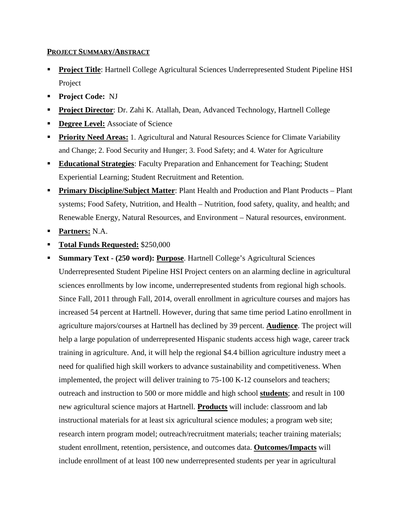## **PROJECT SUMMARY/ABSTRACT**

- **Project Title**: Hartnell College Agricultural Sciences Underrepresented Student Pipeline HSI Project
- **Project Code: NJ**
- **Project Director:** Dr. Zahi K. Atallah, Dean, Advanced Technology, Hartnell College
- **Degree Level:** Associate of Science
- **Priority Need Areas:** 1. Agricultural and Natural Resources Science for Climate Variability and Change; 2. Food Security and Hunger; 3. Food Safety; and 4. Water for Agriculture
- **Educational Strategies**: Faculty Preparation and Enhancement for Teaching; Student Experiential Learning; Student Recruitment and Retention.
- **Primary Discipline/Subject Matter:** Plant Health and Production and Plant Products Plant systems; Food Safety, Nutrition, and Health – Nutrition, food safety, quality, and health; and Renewable Energy, Natural Resources, and Environment – Natural resources, environment.
- **Partners:** N.A.
- **Total Funds Requested:** \$250,000
- **Summary Text - (250 word): Purpose**. Hartnell College's Agricultural Sciences Underrepresented Student Pipeline HSI Project centers on an alarming decline in agricultural sciences enrollments by low income, underrepresented students from regional high schools. Since Fall, 2011 through Fall, 2014, overall enrollment in agriculture courses and majors has increased 54 percent at Hartnell. However, during that same time period Latino enrollment in agriculture majors/courses at Hartnell has declined by 39 percent. **Audience**. The project will help a large population of underrepresented Hispanic students access high wage, career track training in agriculture. And, it will help the regional \$4.4 billion agriculture industry meet a need for qualified high skill workers to advance sustainability and competitiveness. When implemented, the project will deliver training to 75-100 K-12 counselors and teachers; outreach and instruction to 500 or more middle and high school **students**; and result in 100 new agricultural science majors at Hartnell. **Products** will include: classroom and lab instructional materials for at least six agricultural science modules; a program web site; research intern program model; outreach/recruitment materials; teacher training materials; student enrollment, retention, persistence, and outcomes data. **Outcomes/Impacts** will include enrollment of at least 100 new underrepresented students per year in agricultural